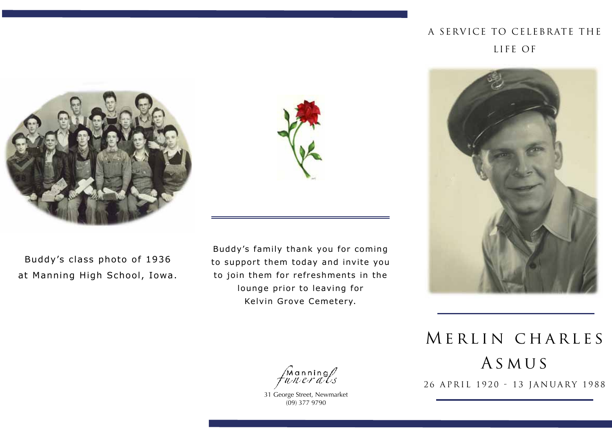## A SERVICE TO CELEBRATE THE Life of



Buddy's class photo of 1936 at Manning High School, Iowa.



Buddy's family thank you for coming to support them today and invite you to join them for refreshments in the lounge prior to leaving for Kelvin Grove Cemetery.



MERLIN CHARLES A s m u s 26 APRIL 1920 - 13 JANUARY 1988

Manning<br>wnerals

31 George Street, Newmarket (09) 377 9790